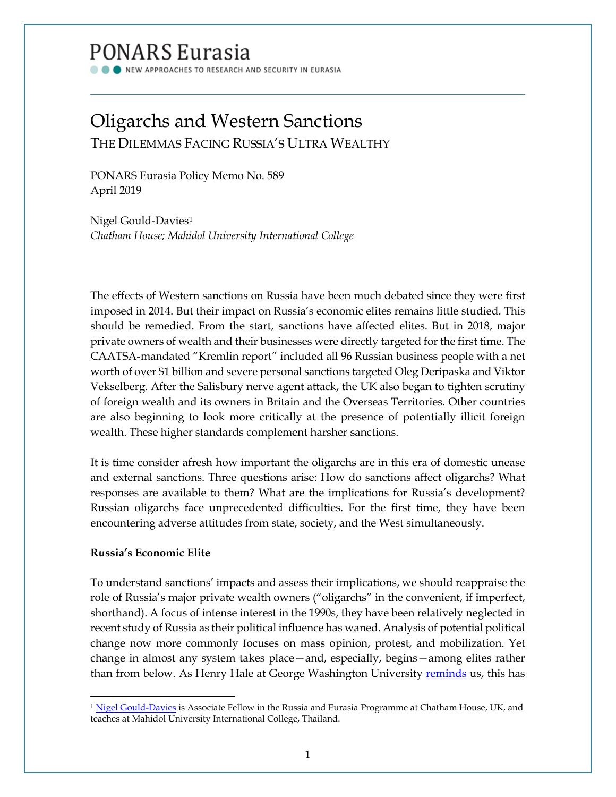# PONARS Eurasia

NEW APPROACHES TO RESEARCH AND SECURITY IN EURASIA

## Oligarchs and Western Sanctions THE DILEMMAS FACING RUSSIA'S ULTRA WEALTHY

PONARS Eurasia Policy Memo No. 589 April 2019

Nigel Gould-Davies[1](#page-0-0) *Chatham House; Mahidol University International College*

The effects of Western sanctions on Russia have been much debated since they were first imposed in 2014. But their impact on Russia's economic elites remains little studied. This should be remedied. From the start, sanctions have affected elites. But in 2018, major private owners of wealth and their businesses were directly targeted for the first time. The CAATSA-mandated "Kremlin report" included all 96 Russian business people with a net worth of over \$1 billion and severe personal sanctions targeted Oleg Deripaska and Viktor Vekselberg. After the Salisbury nerve agent attack, the UK also began to tighten scrutiny of foreign wealth and its owners in Britain and the Overseas Territories. Other countries are also beginning to look more critically at the presence of potentially illicit foreign wealth. These higher standards complement harsher sanctions.

It is time consider afresh how important the oligarchs are in this era of domestic unease and external sanctions. Three questions arise: How do sanctions affect oligarchs? What responses are available to them? What are the implications for Russia's development? Russian oligarchs face unprecedented difficulties. For the first time, they have been encountering adverse attitudes from state, society, and the West simultaneously.

### **Russia's Economic Elite**

To understand sanctions' impacts and assess their implications, we should reappraise the role of Russia's major private wealth owners ("oligarchs" in the convenient, if imperfect, shorthand). A focus of intense interest in the 1990s, they have been relatively neglected in recent study of Russia as their political influence has waned. Analysis of potential political change now more commonly focuses on mass opinion, protest, and mobilization. Yet change in almost any system takes place—and, especially, begins—among elites rather than from below. As Henry Hale at George Washington University [reminds](https://www.cambridge.org/core/books/patronal-politics/4C1B4D49A7F17739E75A5AB7B66E2115) us, this has

<span id="page-0-0"></span>l <sup>1</sup> [Nigel Gould-Davies](https://www.chathamhouse.org/expert/dr-nigel-gould-davies) is Associate Fellow in the Russia and Eurasia Programme at Chatham House, UK, and teaches at Mahidol University International College, Thailand.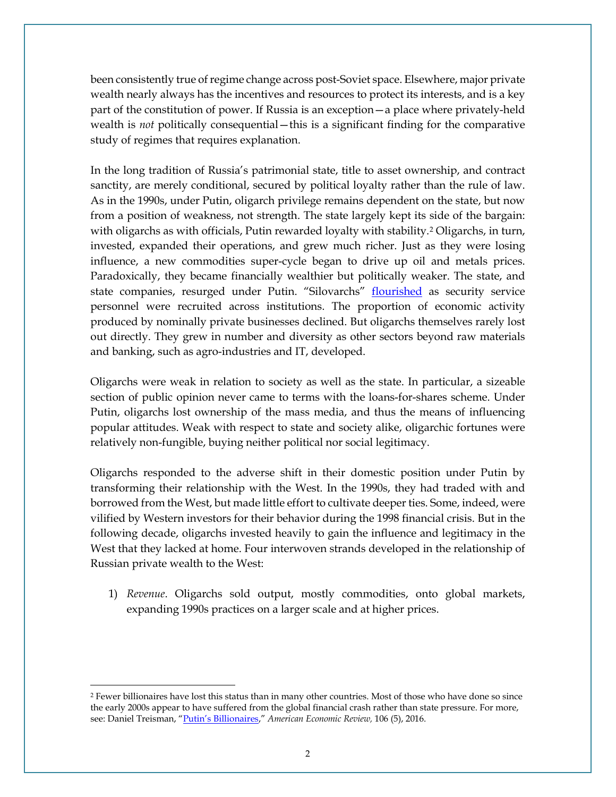been consistently true of regime change across post-Soviet space. Elsewhere, major private wealth nearly always has the incentives and resources to protect its interests, and is a key part of the constitution of power. If Russia is an exception—a place where privately-held wealth is *not* politically consequential—this is a significant finding for the comparative study of regimes that requires explanation.

In the long tradition of Russia's patrimonial state, title to asset ownership, and contract sanctity, are merely conditional, secured by political loyalty rather than the rule of law. As in the 1990s, under Putin, oligarch privilege remains dependent on the state, but now from a position of weakness, not strength. The state largely kept its side of the bargain: with oligarchs as with officials, Putin rewarded loyalty with stability.<sup>[2](#page-1-0)</sup> Oligarchs, in turn, invested, expanded their operations, and grew much richer. Just as they were losing influence, a new commodities super-cycle began to drive up oil and metals prices. Paradoxically, they became financially wealthier but politically weaker. The state, and state companies, resurged under Putin. "Silovarchs" **[flourished](https://www.fpri.org/article/2007/01/putins-silovarchs/)** as security service personnel were recruited across institutions. The proportion of economic activity produced by nominally private businesses declined. But oligarchs themselves rarely lost out directly. They grew in number and diversity as other sectors beyond raw materials and banking, such as agro-industries and IT, developed.

Oligarchs were weak in relation to society as well as the state. In particular, a sizeable section of public opinion never came to terms with the loans-for-shares scheme. Under Putin, oligarchs lost ownership of the mass media, and thus the means of influencing popular attitudes. Weak with respect to state and society alike, oligarchic fortunes were relatively non-fungible, buying neither political nor social legitimacy.

Oligarchs responded to the adverse shift in their domestic position under Putin by transforming their relationship with the West. In the 1990s, they had traded with and borrowed from the West, but made little effort to cultivate deeper ties. Some, indeed, were vilified by Western investors for their behavior during the 1998 financial crisis. But in the following decade, oligarchs invested heavily to gain the influence and legitimacy in the West that they lacked at home. Four interwoven strands developed in the relationship of Russian private wealth to the West:

1) *Revenue*. Oligarchs sold output, mostly commodities, onto global markets, expanding 1990s practices on a larger scale and at higher prices.

l

<span id="page-1-0"></span><sup>2</sup> Fewer billionaires have lost this status than in many other countries. Most of those who have done so since the early 2000s appear to have suffered from the global financial crash rather than state pressure. For more, see: Daniel Treisman, ["Putin's Billionaires,](https://www.aeaweb.org/articles?id=10.1257/aer.p20161068)" *American Economic Review,* 106 (5), 2016.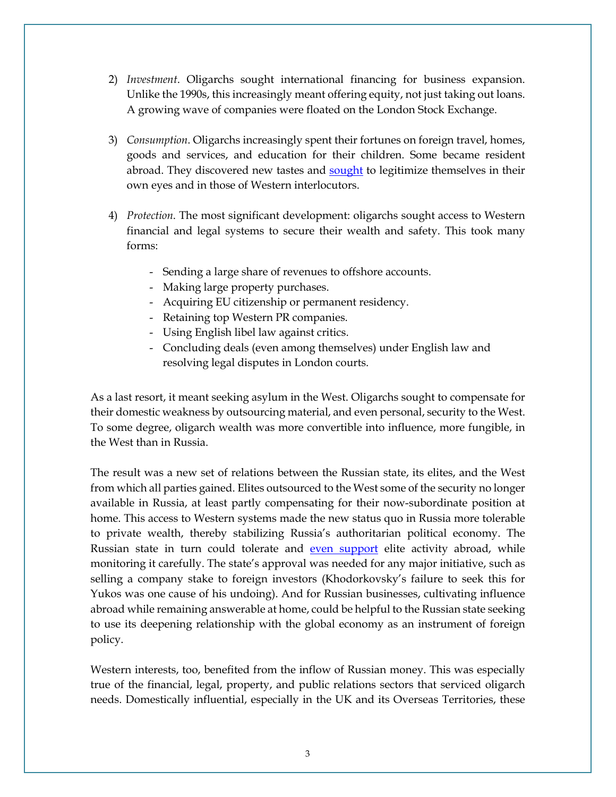- 2) *Investment*. Oligarchs sought international financing for business expansion. Unlike the 1990s, this increasingly meant offering equity, not just taking out loans. A growing wave of companies were floated on the London Stock Exchange.
- 3) *Consumption*. Oligarchs increasingly spent their fortunes on foreign travel, homes, goods and services, and education for their children. Some became resident abroad. They discovered new tastes and [sought](http://www.oxfordscholarship.com/view/10.1093/oso/9780190677763.001.0001/oso-9780190677763) to legitimize themselves in their own eyes and in those of Western interlocutors.
- 4) *Protection*. The most significant development: oligarchs sought access to Western financial and legal systems to secure their wealth and safety. This took many forms:
	- Sending a large share of revenues to offshore accounts.
	- Making large property purchases.
	- Acquiring EU citizenship or permanent residency.
	- Retaining top Western PR companies.
	- Using English libel law against critics.
	- Concluding deals (even among themselves) under English law and resolving legal disputes in London courts.

As a last resort, it meant seeking asylum in the West. Oligarchs sought to compensate for their domestic weakness by outsourcing material, and even personal, security to the West. To some degree, oligarch wealth was more convertible into influence, more fungible, in the West than in Russia.

The result was a new set of relations between the Russian state, its elites, and the West from which all parties gained. Elites outsourced to the West some of the security no longer available in Russia, at least partly compensating for their now-subordinate position at home. This access to Western systems made the new status quo in Russia more tolerable to private wealth, thereby stabilizing Russia's authoritarian political economy. The Russian state in turn could tolerate and [even support](https://www.faber.co.uk/shop/letters-essays-criticism/9780571308019-nothing-is-true-and-everything-is-possible.html) elite activity abroad, while monitoring it carefully. The state's approval was needed for any major initiative, such as selling a company stake to foreign investors (Khodorkovsky's failure to seek this for Yukos was one cause of his undoing). And for Russian businesses, cultivating influence abroad while remaining answerable at home, could be helpful to the Russian state seeking to use its deepening relationship with the global economy as an instrument of foreign policy.

Western interests, too, benefited from the inflow of Russian money. This was especially true of the financial, legal, property, and public relations sectors that serviced oligarch needs. Domestically influential, especially in the UK and its Overseas Territories, these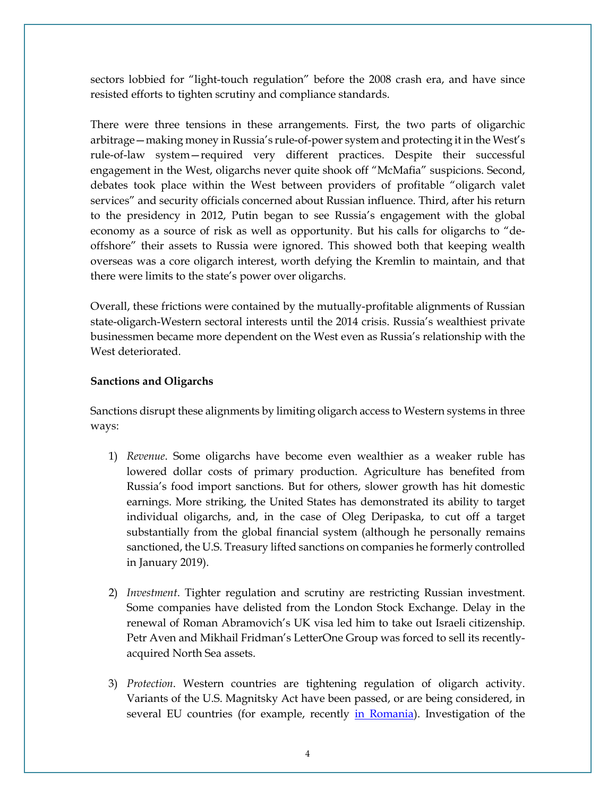sectors lobbied for "light-touch regulation" before the 2008 crash era, and have since resisted efforts to tighten scrutiny and compliance standards.

There were three tensions in these arrangements. First, the two parts of oligarchic arbitrage—making money in Russia's rule-of-power system and protecting it in the West's rule-of-law system—required very different practices. Despite their successful engagement in the West, oligarchs never quite shook off "McMafia" suspicions. Second, debates took place within the West between providers of profitable "oligarch valet services" and security officials concerned about Russian influence. Third, after his return to the presidency in 2012, Putin began to see Russia's engagement with the global economy as a source of risk as well as opportunity. But his calls for oligarchs to "deoffshore" their assets to Russia were ignored. This showed both that keeping wealth overseas was a core oligarch interest, worth defying the Kremlin to maintain, and that there were limits to the state's power over oligarchs.

Overall, these frictions were contained by the mutually-profitable alignments of Russian state-oligarch-Western sectoral interests until the 2014 crisis. Russia's wealthiest private businessmen became more dependent on the West even as Russia's relationship with the West deteriorated.

### **Sanctions and Oligarchs**

Sanctions disrupt these alignments by limiting oligarch access to Western systems in three ways:

- 1) *Revenue*. Some oligarchs have become even wealthier as a weaker ruble has lowered dollar costs of primary production. Agriculture has benefited from Russia's food import sanctions. But for others, slower growth has hit domestic earnings. More striking, the United States has demonstrated its ability to target individual oligarchs, and, in the case of Oleg Deripaska, to cut off a target substantially from the global financial system (although he personally remains sanctioned, the U.S. Treasury lifted sanctions on companies he formerly controlled in January 2019).
- 2) *Investment*. Tighter regulation and scrutiny are restricting Russian investment. Some companies have delisted from the London Stock Exchange. Delay in the renewal of Roman Abramovich's UK visa led him to take out Israeli citizenship. Petr Aven and Mikhail Fridman's LetterOne Group was forced to sell its recentlyacquired North Sea assets.
- 3) *Protection*. Western countries are tightening regulation of oligarch activity. Variants of the U.S. Magnitsky Act have been passed, or are being considered, in several EU countries (for example, recently [in Romania\)](https://euobserver.com/foreign/144673). Investigation of the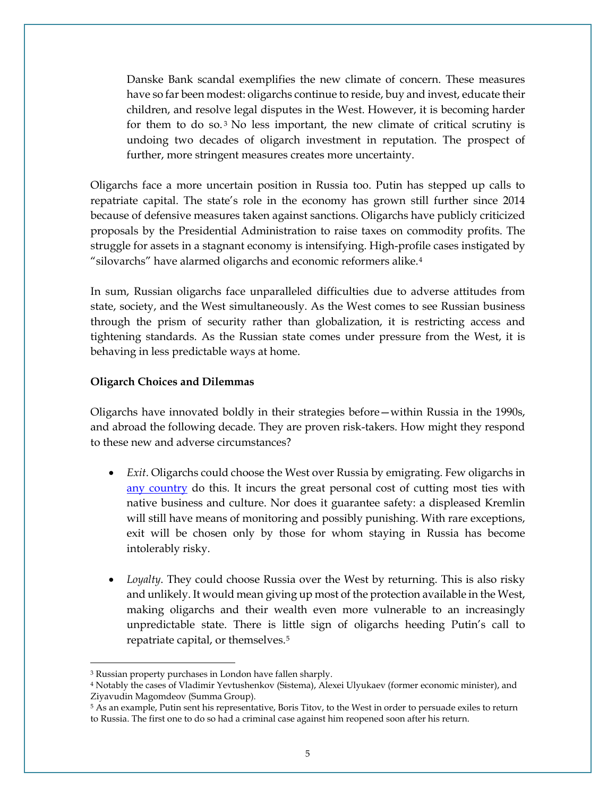Danske Bank scandal exemplifies the new climate of concern. These measures have so far been modest: oligarchs continue to reside, buy and invest, educate their children, and resolve legal disputes in the West. However, it is becoming harder for them to do so. $3$  No less important, the new climate of critical scrutiny is undoing two decades of oligarch investment in reputation. The prospect of further, more stringent measures creates more uncertainty.

Oligarchs face a more uncertain position in Russia too. Putin has stepped up calls to repatriate capital. The state's role in the economy has grown still further since 2014 because of defensive measures taken against sanctions. Oligarchs have publicly criticized proposals by the Presidential Administration to raise taxes on commodity profits. The struggle for assets in a stagnant economy is intensifying. High-profile cases instigated by "silovarchs" have alarmed oligarchs and economic reformers alike.<sup>[4](#page-4-1)</sup>

In sum, Russian oligarchs face unparalleled difficulties due to adverse attitudes from state, society, and the West simultaneously. As the West comes to see Russian business through the prism of security rather than globalization, it is restricting access and tightening standards. As the Russian state comes under pressure from the West, it is behaving in less predictable ways at home.

#### **Oligarch Choices and Dilemmas**

Oligarchs have innovated boldly in their strategies before—within Russia in the 1990s, and abroad the following decade. They are proven risk-takers. How might they respond to these new and adverse circumstances?

- *Exit*. Oligarchs could choose the West over Russia by emigrating. Few oligarchs in [any country](http://www.oxfordscholarship.com/view/10.1093/oso/9780190677763.001.0001/oso-9780190677763) do this. It incurs the great personal cost of cutting most ties with native business and culture. Nor does it guarantee safety: a displeased Kremlin will still have means of monitoring and possibly punishing. With rare exceptions, exit will be chosen only by those for whom staying in Russia has become intolerably risky.
- *Loyalty*. They could choose Russia over the West by returning. This is also risky and unlikely. It would mean giving up most of the protection available in the West, making oligarchs and their wealth even more vulnerable to an increasingly unpredictable state. There is little sign of oligarchs heeding Putin's call to repatriate capital, or themselves.[5](#page-4-2)

 $\overline{\phantom{a}}$ 

<span id="page-4-0"></span><sup>3</sup> Russian property purchases in London have fallen sharply.

<span id="page-4-1"></span><sup>4</sup> Notably the cases of Vladimir Yevtushenkov (Sistema), Alexei Ulyukaev (former economic minister), and Ziyavudin Magomdeov (Summa Group).

<span id="page-4-2"></span><sup>5</sup> As an example, Putin sent his representative, Boris Titov, to the West in order to persuade exiles to return to Russia. The first one to do so had a criminal case against him reopened soon after his return.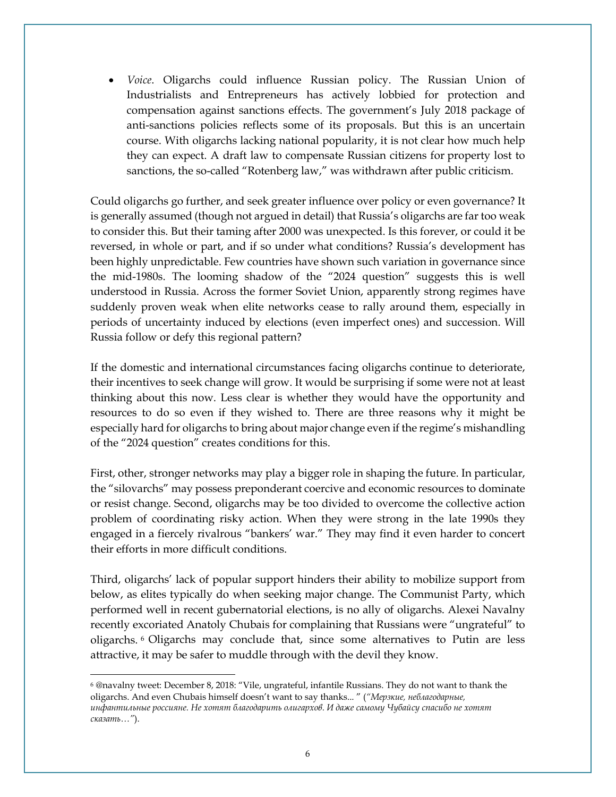• *Voice*. Oligarchs could influence Russian policy. The Russian Union of Industrialists and Entrepreneurs has actively lobbied for protection and compensation against sanctions effects. The government's July 2018 package of anti-sanctions policies reflects some of its proposals. But this is an uncertain course. With oligarchs lacking national popularity, it is not clear how much help they can expect. A draft law to compensate Russian citizens for property lost to sanctions, the so-called "Rotenberg law," was withdrawn after public criticism.

Could oligarchs go further, and seek greater influence over policy or even governance? It is generally assumed (though not argued in detail) that Russia's oligarchs are far too weak to consider this. But their taming after 2000 was unexpected. Is this forever, or could it be reversed, in whole or part, and if so under what conditions? Russia's development has been highly unpredictable. Few countries have shown such variation in governance since the mid-1980s. The looming shadow of the "2024 question" suggests this is well understood in Russia. Across the former Soviet Union, apparently strong regimes have suddenly proven weak when elite networks cease to rally around them, especially in periods of uncertainty induced by elections (even imperfect ones) and succession. Will Russia follow or defy this regional pattern?

If the domestic and international circumstances facing oligarchs continue to deteriorate, their incentives to seek change will grow. It would be surprising if some were not at least thinking about this now. Less clear is whether they would have the opportunity and resources to do so even if they wished to. There are three reasons why it might be especially hard for oligarchs to bring about major change even if the regime's mishandling of the "2024 question" creates conditions for this.

First, other, stronger networks may play a bigger role in shaping the future. In particular, the "silovarchs" may possess preponderant coercive and economic resources to dominate or resist change. Second, oligarchs may be too divided to overcome the collective action problem of coordinating risky action. When they were strong in the late 1990s they engaged in a fiercely rivalrous "bankers' war." They may find it even harder to concert their efforts in more difficult conditions.

Third, oligarchs' lack of popular support hinders their ability to mobilize support from below, as elites typically do when seeking major change. The Communist Party, which performed well in recent gubernatorial elections, is no ally of oligarchs. Alexei Navalny recently excoriated Anatoly Chubais for complaining that Russians were "ungrateful" to oligarchs. [6](#page-5-0) Oligarchs may conclude that, since some alternatives to Putin are less attractive, it may be safer to muddle through with the devil they know.

 $\overline{\phantom{a}}$ 

<span id="page-5-0"></span> $6\degree$ @navalny tweet: December 8, 2018: "Vile, ungrateful, infantile Russians. They do not want to thank the oligarchs. And even Chubais himself doesn't want to say thanks... " (*"Мерзкие, неблагодарные, инфантильные россияне. Не хотят благодарить олигархов. И даже самому Чубайсу спасибо не хотят сказать…"*).